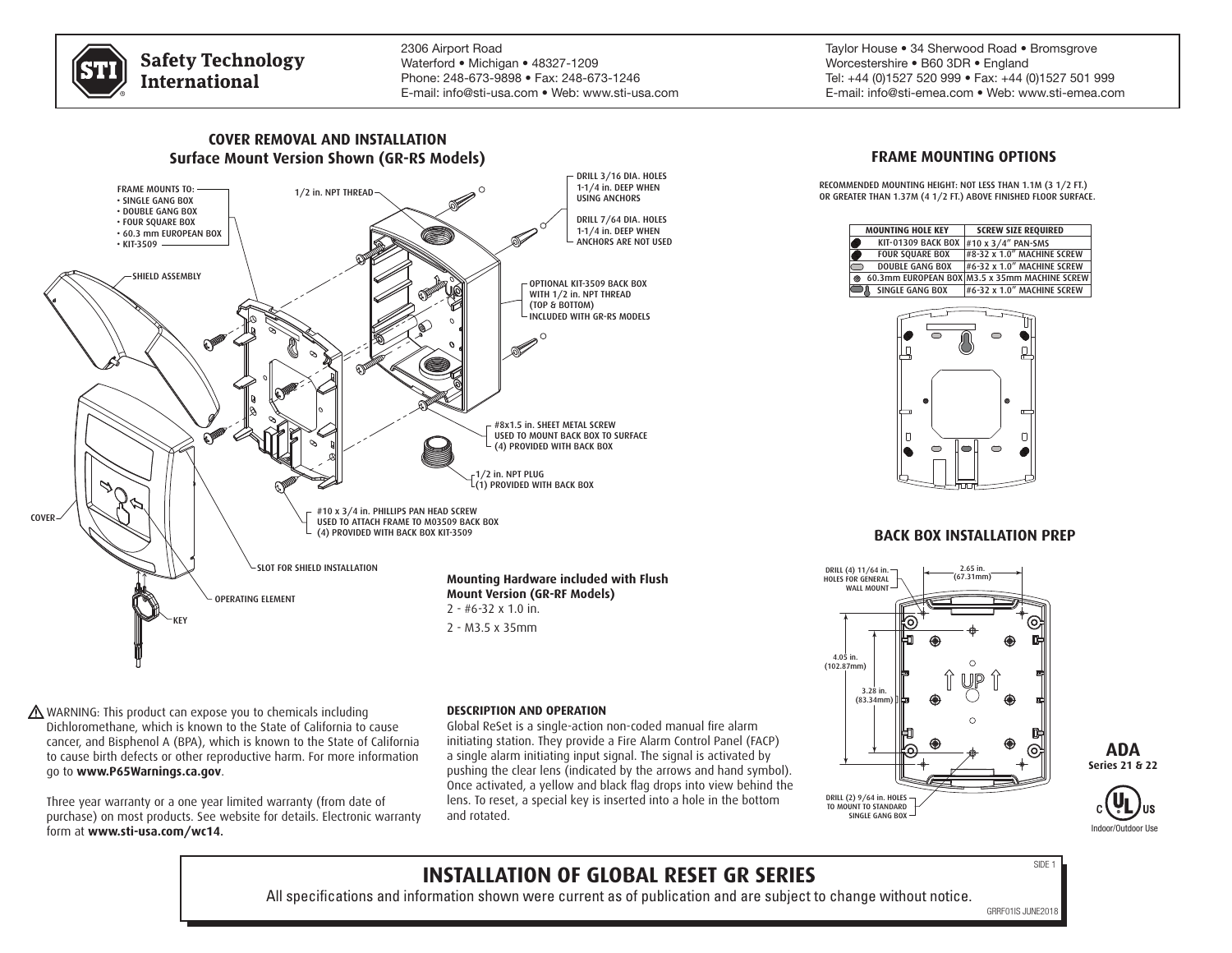

**Safety Technology International** 

2306 Airport Road Waterford • Michigan • 48327-1209 Phone: 248-673-9898 • Fax: 248-673-1246 E-mail: info@sti-usa.com • Web: www.sti-usa.com Taylor House • 34 Sherwood Road • Bromsgrove Worcestershire • B60 3DR • England Tel: +44 (0)1527 520 999 • Fax: +44 (0)1527 501 999 E-mail: info@sti-emea.com • Web: www.sti-emea.com



WARNING: This product can expose you to chemicals including Dichloromethane, which is known to the State of California to cause cancer, and Bisphenol A (BPA), which is known to the State of California to cause birth defects or other reproductive harm. For more information go to **www.P65Warnings.ca.gov**.

Three year warranty or a one year limited warranty (from date of purchase) on most products. See website for details. Electronic warranty form at **www.sti-usa.com/wc14**.

#### **DESCRIPTION AND OPERATION**

Global ReSet is a single-action non-coded manual fire alarm initiating station. They provide a Fire Alarm Control Panel (FACP) a single alarm initiating input signal. The signal is activated by pushing the clear lens (indicated by the arrows and hand symbol). Once activated, a yellow and black flag drops into view behind the lens. To reset, a special key is inserted into a hole in the bottom and rotated.

## **FRAME MOUNTING OPTIONS**

RECOMMENDED MOUNTING HEIGHT: NOT LESS THAN 1.1M (3 1/2 FT.) OR GREATER THAN 1.37M (4 1/2 FT.) ABOVE FINISHED FLOOR SURFACE.

| <b>MOUNTING HOLE KEY</b>  | <b>SCREW SIZE REQUIRED</b>                    |
|---------------------------|-----------------------------------------------|
| <b>KIT-01309 BACK BOX</b> | #10 x 3/4" PAN-SMS                            |
| <b>FOUR SQUARE BOX</b>    | #8-32 x 1.0" MACHINE SCREW                    |
| <b>DOUBLE GANG BOX</b>    | #6-32 x 1.0" MACHINE SCREW                    |
| e                         | 60.3mm EUROPEAN BOX M3.5 x 35mm MACHINE SCREW |
| <b>SINGLE GANG BOX</b>    | #6-32 x 1.0" MACHINE SCREW                    |
|                           |                                               |
|                           |                                               |



## **BACK BOX INSTALLATION PREP**







# **INSTALLATION OF GLOBAL RESET GR SERIES**

All specifications and information shown were current as of publication and are subject to change without notice.

 $SIDF$